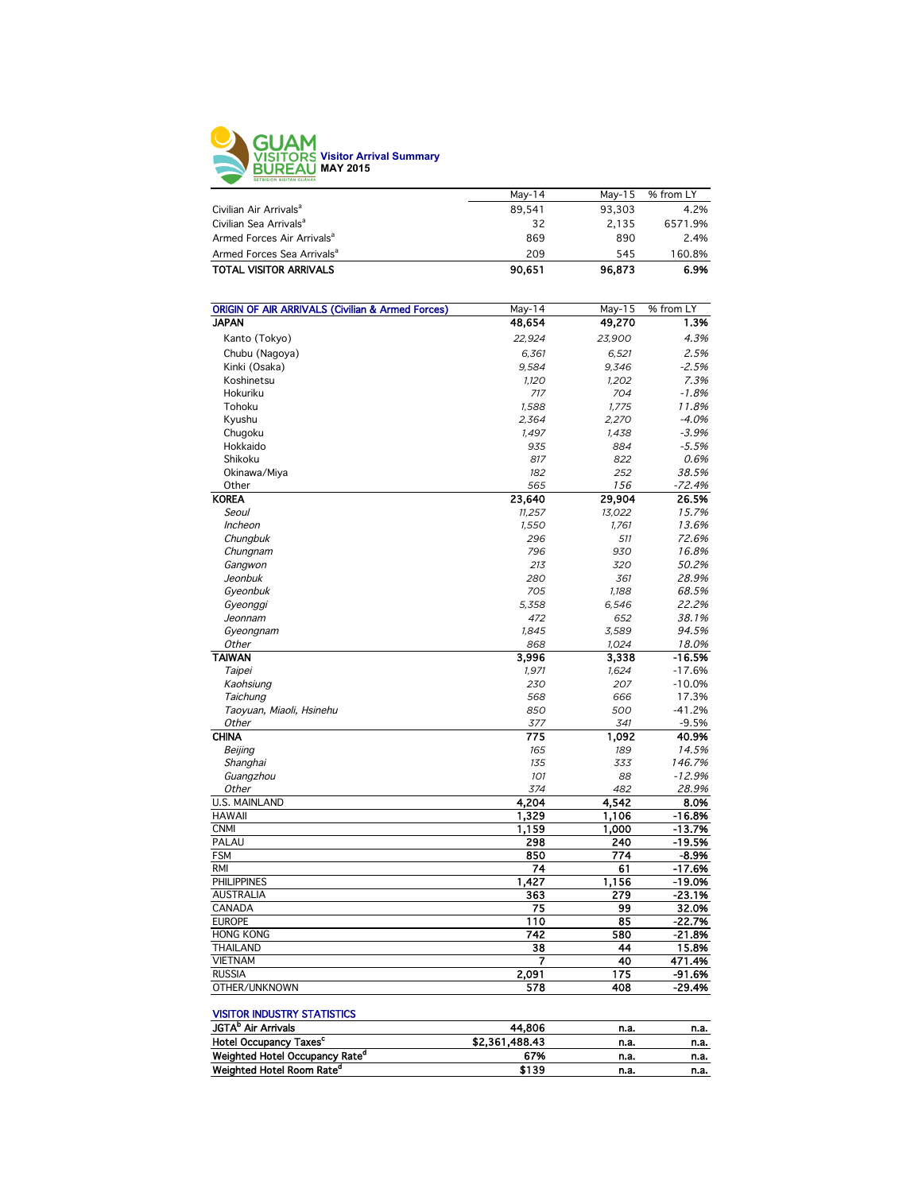

|                                        | May-14 | May-15 | % from LY |
|----------------------------------------|--------|--------|-----------|
| Civilian Air Arrivals <sup>a</sup>     | 89.541 | 93.303 | 4.2%      |
| Civilian Sea Arrivals <sup>a</sup>     | 32     | 2.135  | 6571.9%   |
| Armed Forces Air Arrivals <sup>a</sup> | 869    | 890    | 2.4%      |
| Armed Forces Sea Arrivals <sup>a</sup> | 209    | 545    | 160.8%    |
| <b>TOTAL VISITOR ARRIVALS</b>          | 90.651 | 96,873 | 6.9%      |
|                                        |        |        |           |

| <b>ORIGIN OF AIR ARRIVALS (Civilian &amp; Armed Forces)</b> | May-14 | May-15 | % from LY |
|-------------------------------------------------------------|--------|--------|-----------|
| <b>JAPAN</b>                                                | 48,654 | 49,270 | 1.3%      |
| Kanto (Tokyo)                                               | 22,924 | 23,900 | 4.3%      |
| Chubu (Nagoya)                                              | 6,361  | 6,521  | 2.5%      |
| Kinki (Osaka)                                               | 9,584  | 9,346  | $-2.5%$   |
| Koshinetsu                                                  | 1,120  | 1,202  | 7.3%      |
| Hokuriku                                                    | 717    | 704    | $-1.8%$   |
| Tohoku                                                      | 1,588  | 1,775  | 11.8%     |
| Kyushu                                                      | 2,364  | 2,270  | $-4.0%$   |
| Chugoku                                                     | 1,497  | 1,438  | $-3.9%$   |
| Hokkaido                                                    | 935    | 884    | $-5.5%$   |
| Shikoku                                                     | 817    | 822    | 0.6%      |
| Okinawa/Miya                                                | 182    | 252    | 38.5%     |
| Other                                                       | 565    | 156    | $-72.4%$  |
| <b>KOREA</b>                                                | 23,640 | 29,904 | 26.5%     |
| Seoul                                                       | 11,257 | 13,022 | 15.7%     |
| Incheon                                                     | 1,550  | 1,761  | 13.6%     |
| Chungbuk                                                    | 296    | 511    | 72.6%     |
| Chungnam                                                    | 796    | 930    | 16.8%     |
|                                                             | 213    | 320    | 50.2%     |
| Gangwon<br>Jeonbuk                                          | 280    | 361    | 28.9%     |
|                                                             | 705    |        |           |
| Gyeonbuk                                                    |        | 1,188  | 68.5%     |
| Gyeonggi                                                    | 5,358  | 6,546  | 22.2%     |
| Jeonnam                                                     | 472    | 652    | 38.1%     |
| Gyeongnam                                                   | 1.845  | 3,589  | 94.5%     |
| Other                                                       | 868    | 1.024  | 18.0%     |
| <b>TAIWAN</b>                                               | 3,996  | 3,338  | $-16.5%$  |
| Taipei                                                      | 1,971  | 1,624  | $-17.6%$  |
| Kaohsiung                                                   | 230    | 207    | $-10.0%$  |
| Taichung                                                    | 568    | 666    | 17.3%     |
| Taoyuan, Miaoli, Hsinehu                                    | 850    | 500    | $-41.2%$  |
| Other                                                       | 377    | 341    | $-9.5%$   |
| <b>CHINA</b>                                                | 775    | 1,092  | 40.9%     |
| Beijing                                                     | 165    | 189    | 14.5%     |
| Shanghai                                                    | 135    | 333    | 146.7%    |
| Guangzhou                                                   | 101    | 88     | $-12.9%$  |
| Other                                                       | 374    | 482    | 28.9%     |
| <b>U.S. MAINLAND</b>                                        | 4,204  | 4,542  | 8.0%      |
| <b>HAWAII</b>                                               | 1,329  | 1,106  | $-16.8%$  |
| <b>CNMI</b>                                                 | 1,159  | 1,000  | $-13.7%$  |
| PALAU                                                       | 298    | 240    | $-19.5%$  |
| <b>FSM</b>                                                  | 850    | 774    | $-8.9%$   |
| <b>RMI</b>                                                  | 74     | 61     | $-17.6%$  |
| <b>PHILIPPINES</b>                                          | 1,427  | 1,156  | -19.0%    |
| <b>AUSTRALIA</b>                                            | 363    | 279    | $-23.1%$  |
| CANADA                                                      | 75     | 99     | 32.0%     |
| <b>EUROPE</b>                                               | 110    | 85     | $-22.7%$  |
| <b>HONG KONG</b>                                            | 742    | 580    | $-21.8%$  |
| <b>THAILAND</b>                                             | 38     | 44     | 15.8%     |
| <b>VIETNAM</b>                                              | 7      | 40     | 471.4%    |
| <b>RUSSIA</b>                                               | 2,091  | 175    | -91.6%    |
| OTHER/UNKNOWN                                               | 578    | 408    | $-29.4%$  |

## VISITOR INDUSTRY STATISTICS

| <b>JGTA</b> <sup>P</sup> Air Arrivals      | 44.806         | n.a. | n.a. |
|--------------------------------------------|----------------|------|------|
| Hotel Occupancy Taxes <sup>c</sup>         | \$2,361,488.43 | n.a. | n.a. |
| Weighted Hotel Occupancy Rate <sup>a</sup> | 67%            | n.a. | n.a. |
| Weighted Hotel Room Rate <sup>d</sup>      | \$139          | n.a. | n.a. |
|                                            |                |      |      |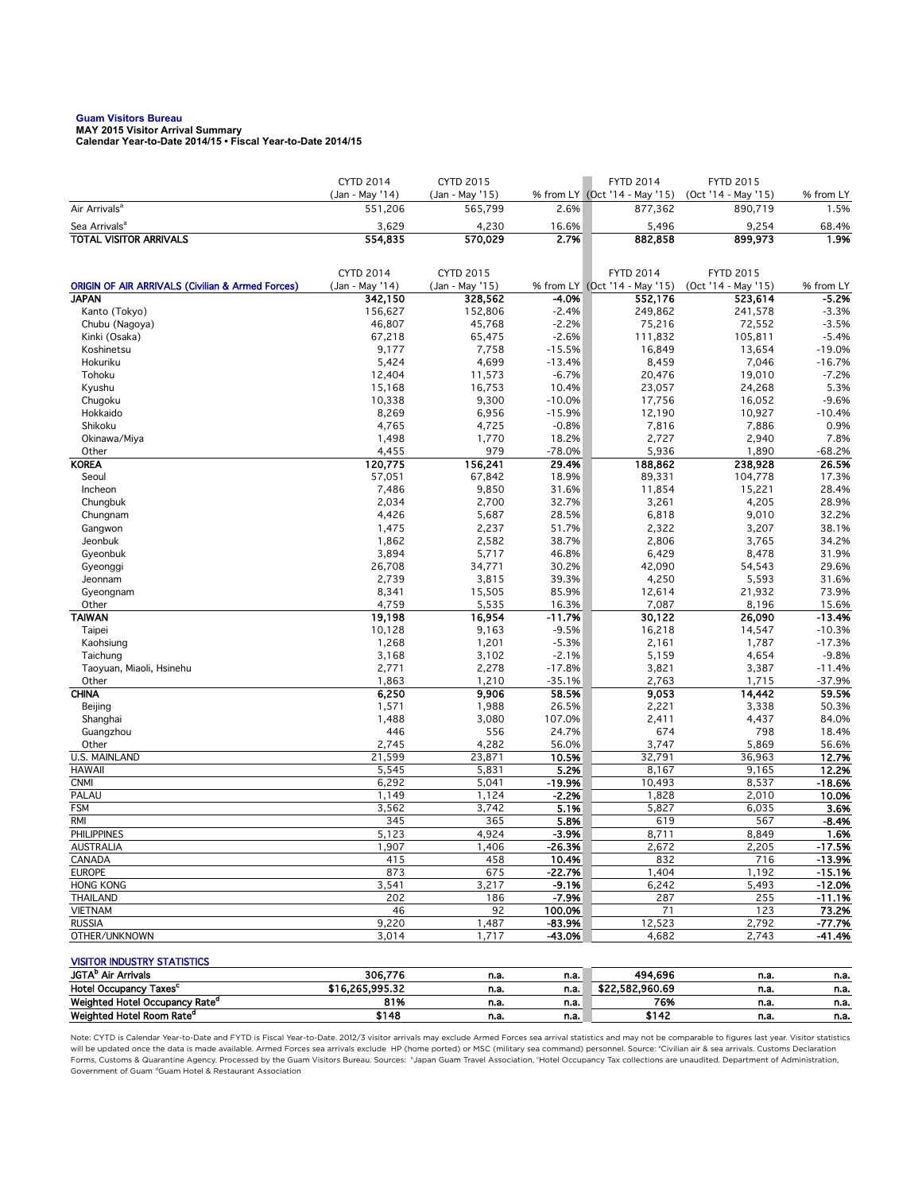## **Guam Visitors Bureau MAY 2015 Visitor Arrival Summary**

**Calendar Year-to-Date 2014/15 • Fiscal Year-to-Date 2014/15** 

|                                                             | <b>CYTD 2014</b>           | <b>CYTD 2015</b>           |                   | <b>FYTD 2014</b>                         | <b>FYTD 2015</b>               |                    |
|-------------------------------------------------------------|----------------------------|----------------------------|-------------------|------------------------------------------|--------------------------------|--------------------|
| Air Arrivals <sup>a</sup>                                   | (Jan - May '14)<br>551,206 | (Jan - May '15)<br>565,799 | 2.6%              | % from LY (Oct '14 - May '15)<br>877,362 | (Oct '14 - May '15)<br>890,719 | % from LY<br>1.5%  |
| Sea Arrivals <sup>a</sup>                                   | 3,629                      | 4,230                      | 16.6%             | 5,496                                    | 9,254                          | 68.4%              |
| <b>TOTAL VISITOR ARRIVALS</b>                               | 554,835                    | 570,029                    | 2.7%              | 882,858                                  | 899,973                        | 1.9%               |
|                                                             |                            |                            |                   |                                          |                                |                    |
|                                                             | <b>CYTD 2014</b>           | <b>CYTD 2015</b>           |                   | <b>FYTD 2014</b>                         | <b>FYTD 2015</b>               |                    |
| <b>ORIGIN OF AIR ARRIVALS (Civilian &amp; Armed Forces)</b> | (Jan - May '14)            | (Jan - May '15)            |                   | % from LY (Oct '14 - May '15)            | (Oct '14 - May '15)            | % from LY          |
| <b>JAPAN</b>                                                | 342,150                    | 328,562                    | -4.0%             | 552,176                                  | 523,614                        | -5.2%              |
| Kanto (Tokyo)                                               | 156,627                    | 152,806                    | $-2.4%$           | 249,862                                  | 241,578                        | $-3.3%$            |
| Chubu (Nagoya)                                              | 46,807                     | 45,768                     | $-2.2%$           | 75,216                                   | 72,552                         | $-3.5%$            |
| Kinki (Osaka)                                               | 67,218                     | 65,475                     | $-2.6%$           | 111,832                                  | 105,811                        | $-5.4%$            |
| Koshinetsu                                                  | 9,177                      | 7,758                      | $-15.5%$          | 16,849                                   | 13,654                         | $-19.0%$           |
| Hokuriku                                                    | 5,424                      | 4,699                      | $-13.4%$          | 8,459                                    | 7,046                          | $-16.7%$           |
| Tohoku                                                      | 12,404<br>15.168           | 11,573                     | $-6.7%$           | 20,476                                   | 19,010                         | $-7.2%$<br>5.3%    |
| Kyushu<br>Chugoku                                           | 10,338                     | 16,753<br>9,300            | 10.4%<br>$-10.0%$ | 23,057<br>17,756                         | 24,268<br>16,052               | $-9.6%$            |
| Hokkaido                                                    | 8,269                      | 6,956                      | $-15.9%$          | 12,190                                   | 10,927                         | $-10.4%$           |
| Shikoku                                                     | 4,765                      | 4,725                      | $-0.8%$           | 7,816                                    | 7,886                          | 0.9%               |
| Okinawa/Miya                                                | 1,498                      | 1,770                      | 18.2%             | 2,727                                    | 2,940                          | 7.8%               |
| Other                                                       | 4,455                      | 979                        | $-78.0%$          | 5,936                                    | 1,890                          | $-68.2%$           |
| <b>KOREA</b>                                                | 120,775                    | 156,241                    | 29.4%             | 188,862                                  | 238,928                        | 26.5%              |
| Seoul                                                       | 57,051                     | 67,842                     | 18.9%             | 89,331                                   | 104,778                        | 17.3%              |
| Incheon                                                     | 7,486                      | 9,850                      | 31.6%             | 11,854                                   | 15,221                         | 28.4%              |
| Chungbuk                                                    | 2,034                      | 2,700                      | 32.7%             | 3,261                                    | 4,205                          | 28.9%              |
| Chungnam                                                    | 4,426                      | 5,687                      | 28.5%             | 6,818                                    | 9,010                          | 32.2%              |
| Gangwon                                                     | 1,475                      | 2,237                      | 51.7%             | 2,322                                    | 3,207                          | 38.1%              |
| Jeonbuk                                                     | 1,862                      | 2,582                      | 38.7%             | 2,806                                    | 3,765                          | 34.2%              |
| Gyeonbuk<br>Gyeonggi                                        | 3,894<br>26,708            | 5,717<br>34,771            | 46.8%<br>30.2%    | 6,429<br>42,090                          | 8,478<br>54,543                | 31.9%<br>29.6%     |
| Jeonnam                                                     | 2,739                      | 3,815                      | 39.3%             | 4,250                                    | 5,593                          | 31.6%              |
| Gyeongnam                                                   | 8,341                      | 15,505                     | 85.9%             | 12,614                                   | 21,932                         | 73.9%              |
| Other                                                       | 4,759                      | 5,535                      | 16.3%             | 7,087                                    | 8,196                          | 15.6%              |
| <b>TAIWAN</b>                                               | 19,198                     | 16,954                     | $-11.7%$          | 30,122                                   | 26,090                         | $-13.4%$           |
| Taipei                                                      | 10,128                     | 9,163                      | $-9.5%$           | 16,218                                   | 14,547                         | $-10.3%$           |
| Kaohsiung                                                   | 1,268                      | 1,201                      | $-5.3%$           | 2,161                                    | 1,787                          | $-17.3%$           |
| Taichung                                                    | 3,168                      | 3,102                      | $-2.1%$           | 5,159                                    | 4,654                          | $-9.8%$            |
| Taoyuan, Miaoli, Hsinehu                                    | 2,771                      | 2,278                      | $-17.8%$          | 3,821                                    | 3,387                          | $-11.4%$           |
| Other                                                       | 1,863                      | 1,210                      | $-35.1%$          | 2,763                                    | 1,715                          | $-37.9%$           |
| <b>CHINA</b>                                                | 6,250                      | 9,906                      | 58.5%<br>26.5%    | 9,053                                    | 14,442<br>3,338                | 59.5%<br>50.3%     |
| Beijing<br>Shanghai                                         | 1,571<br>1,488             | 1,988<br>3,080             | 107.0%            | 2,221<br>2,411                           | 4,437                          | 84.0%              |
| Guangzhou                                                   | 446                        | 556                        | 24.7%             | 674                                      | 798                            | 18.4%              |
| Other                                                       | 2,745                      | 4,282                      | 56.0%             | 3,747                                    | 5,869                          | 56.6%              |
| U.S. MAINLAND                                               | 21,599                     | 23,871                     | 10.5%             | 32,791                                   | 36,963                         | 12.7%              |
| <b>HAWAII</b>                                               | 5,545                      | 5,831                      | 5.2%              | 8,167                                    | 9,165                          | 12.2%              |
| <b>CNMI</b>                                                 | 6,292                      | 5,041                      | $-19.9%$          | 10,493                                   | 8,537                          | $-18.6%$           |
| PALAU                                                       | 1,149                      | 1,124                      | $-2.2%$           | 1,828                                    | 2,010                          | 10.0%              |
| <b>FSM</b>                                                  | 3,562                      | 3,742                      | 5.1%              | 5,827                                    | 6,035                          | 3.6%               |
| RMI                                                         | 345                        | 365                        | 5.8%              | 619                                      | 567                            | -8.4%              |
| <b>PHILIPPINES</b>                                          | 5,123                      | 4,924                      | $-3.9%$           | 8,711                                    | 8,849                          | 1.6%               |
| AUSTRALIA<br>CANADA                                         | 1,907<br>415               | 1,406<br>458               | -26.3%            | 2,672<br>832                             | 2,205<br>716                   | -17.5%<br>$-13.9%$ |
| <b>EUROPE</b>                                               | 873                        | 675                        | 10.4%<br>$-22.7%$ | 1,404                                    | 1,192                          | $-15.1%$           |
| <b>HONG KONG</b>                                            | 3,541                      | 3,217                      | $-9.1%$           | 6,242                                    | 5,493                          | $-12.0%$           |
| <b>THAILAND</b>                                             | 202                        | 186                        | $-7.9%$           | 287                                      | 255                            | $-11.1%$           |
| <b>VIETNAM</b>                                              | 46                         | 92                         | 100.0%            | 71                                       | 123                            | 73.2%              |
| <b>RUSSIA</b>                                               | 9,220                      | 1,487                      | $-83.9%$          | 12,523                                   | 2,792                          | -77.7%             |
| OTHER/UNKNOWN                                               | 3,014                      | 1,717                      | -43.0%            | 4,682                                    | 2,743                          | $-41.4%$           |
|                                                             |                            |                            |                   |                                          |                                |                    |
| <b>VISITOR INDUSTRY STATISTICS</b>                          |                            |                            |                   |                                          |                                |                    |
| JGTA <sup>b</sup> Air Arrivals                              | 306,776                    | n.a.                       | n.a.              | 494,696                                  | n.a.                           | n.a.               |
| Hotel Occupancy Taxes <sup>c</sup>                          | \$16,265,995.32            | n.a.                       | n.a.              | \$22,582,960.69                          | n.a.                           | n.a.               |
| Weighted Hotel Occupancy Rate <sup>d</sup>                  | 81%                        | n.a.                       | n.a.              | 76%                                      | n.a.                           | n.a.               |
| Weighted Hotel Room Rate <sup>d</sup>                       | \$148                      | n.a.                       | n.a.              | \$142                                    | n.a.                           | n.a.               |

Note: CYTD is Calendar Year-to-Date and FYTD is Fiscal Year-to-Date. 2012/3 visitor arrivals may exclude Armed Forces sea arrival statistics and may not be comparable to figures last year. Visitor statistics will be updated once the data is made available. Armed Forces sea arrivals exclude HP (home ported) or MSC (military sea command) personnel. Source: °Civilian air & sea arrivals. Customs Declaration<br>Forms, Customs & Quaran Government of Guam dGuam Hotel & Restaurant Association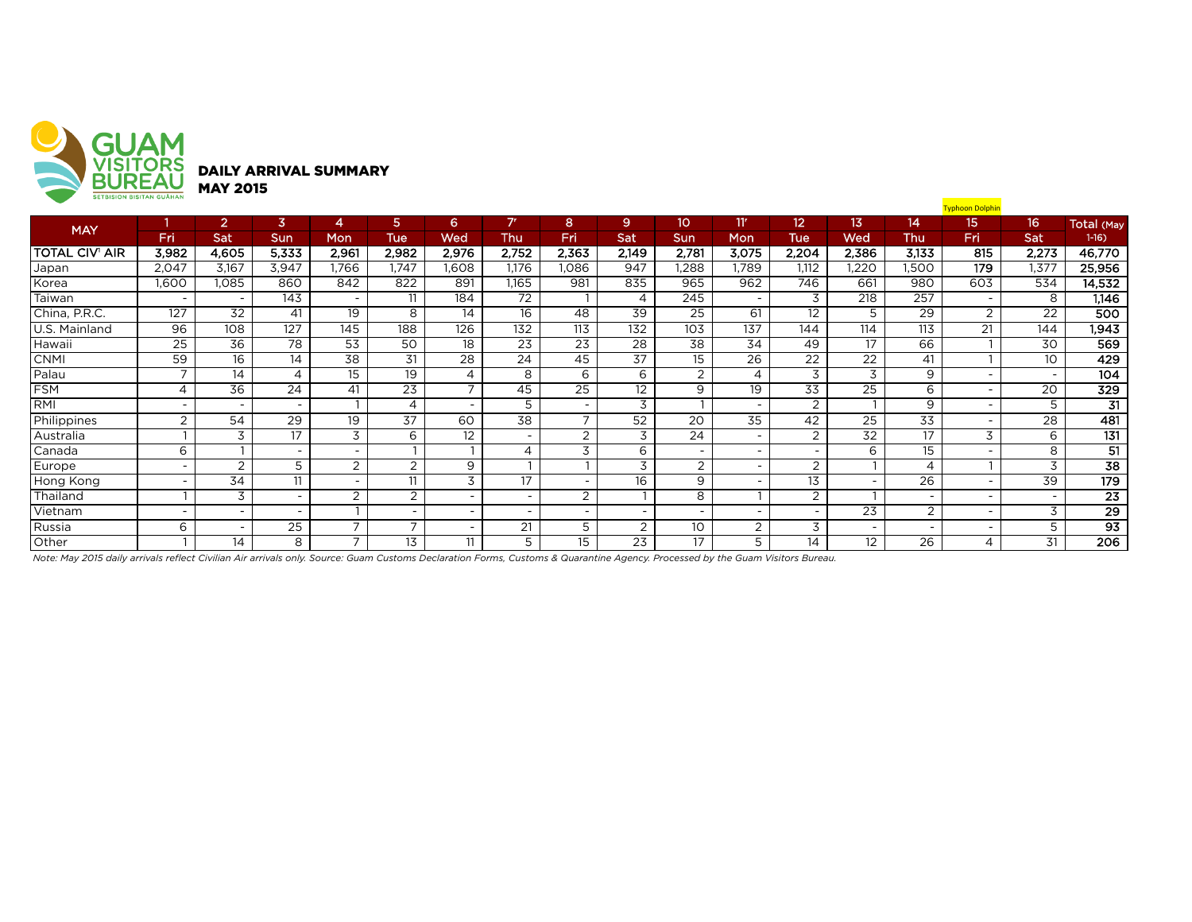

|                | <b>SEIBISIUN BISITAN GUAHAN</b> |                          |                          |                          |                          |                          |                          |                          |                 |                          |                          |                          |                          |                          | <b>Typhoon Dolphin</b>   |                          |                   |
|----------------|---------------------------------|--------------------------|--------------------------|--------------------------|--------------------------|--------------------------|--------------------------|--------------------------|-----------------|--------------------------|--------------------------|--------------------------|--------------------------|--------------------------|--------------------------|--------------------------|-------------------|
| <b>MAY</b>     |                                 | $\overline{2}$           | 3                        | 4                        | 5.                       | 6                        | 7 <sup>r</sup>           | 8                        | 9               | 10 <sup>°</sup>          | 11'                      | 12 <sup>2</sup>          | 13                       | 14.                      | 15                       | 16                       | <b>Total (May</b> |
|                | Fri                             | Sat                      | Sun                      | Mon                      | Tue                      | Wed                      | Thu                      | Fri                      | Sat             | <b>Sun</b>               | Mon                      | <b>Tue</b>               | Wed                      | Thu                      | Fri                      | Sat                      | $1-16$            |
| TOTAL CIV' AIR | 3,982                           | 4,605                    | 5,333                    | 2,961                    | 2,982                    | 2,976                    | 2,752                    | 2,363                    | 2,149           | 2,781                    | 3,075                    | 2,204                    | 2,386                    | 3,133                    | 815                      | 2,273                    | 46,770            |
| Japan          | 2,047                           | 3,167                    | 3,947                    | .766                     | .747                     | 808.                     | 1,176                    | .086                     | 947             | ,288                     | 1.789                    | 1.112                    | ,220                     | ,500                     | 179                      | 1,377                    | 25,956            |
| Korea          | 1,600                           | 1,085                    | 860                      | 842                      | 822                      | 891                      | 1,165                    | 981                      | 835             | 965                      | 962                      | 746                      | 661                      | 980                      | 603                      | 534                      | 14,532            |
| Taiwan         | $\overline{\phantom{a}}$        | $\overline{\phantom{0}}$ | 143                      | $\overline{\phantom{0}}$ | 11                       | 184                      | 72                       |                          | 4               | 245                      | $\overline{\phantom{0}}$ | 3                        | 218                      | 257                      | $\overline{\phantom{0}}$ | 8                        | 1,146             |
| China, P.R.C.  | 127                             | 32                       | 41                       | 19                       | 8                        | 14                       | 16                       | 48                       | 39              | 25                       | 61                       | 12                       | 5                        | 29                       | 2                        | 22                       | 500               |
| U.S. Mainland  | $\overline{96}$                 | 108                      | 127                      | 145                      | 188                      | 126                      | 132                      | 113                      | 132             | 103                      | 137                      | 144                      | 114                      | 113                      | 21                       | 144                      | 1,943             |
| Hawaii         | $\overline{25}$                 | $\overline{36}$          | 78                       | $\overline{53}$          | 50                       | 18                       | $\overline{23}$          | $\overline{23}$          | $\overline{28}$ | 38                       | $\overline{34}$          | 49                       | 17                       | 66                       |                          | 30                       | 569               |
| <b>CNMI</b>    | 59                              | 16                       | 14                       | 38                       | 31                       | 28                       | 24                       | 45                       | 37              | 15                       | 26                       | 22                       | 22                       | 41                       |                          | 10 <sup>°</sup>          | 429               |
| Palau          | $\overline{ }$                  | 14                       | 4                        | 15                       | 19                       | 4                        | 8                        | 6                        | 6               | 2                        | 4                        | 3                        | 3                        | 9                        | $\overline{\phantom{0}}$ | $\overline{\phantom{0}}$ | 104               |
| <b>FSM</b>     | $\overline{4}$                  | $\overline{36}$          | 24                       | 41                       | $\overline{23}$          | $\overline{ }$           | 45                       | $\overline{25}$          | 12              | 9                        | $\overline{19}$          | $\overline{33}$          | $\overline{25}$          | 6                        |                          | 20                       | 329               |
| RMI            | $\overline{\phantom{a}}$        | $\overline{\phantom{a}}$ | $\overline{\phantom{a}}$ |                          | 4                        | $\overline{\phantom{a}}$ | 5                        | $\sim$                   | 3               |                          | $\overline{\phantom{a}}$ | 2                        |                          | 9                        | $\overline{\phantom{0}}$ | 5                        | $\overline{31}$   |
| Philippines    | 2                               | 54                       | 29                       | 19                       | 37                       | 60                       | 38                       | $\overline{ }$           | 52              | 20                       | 35                       | 42                       | 25                       | 33                       | $\overline{\phantom{0}}$ | 28                       | 481               |
| Australia      | ×                               | 3                        | 17                       | 3                        | 6                        | 12                       | $\overline{\phantom{0}}$ | 2                        | 3               | 24                       | $\overline{\phantom{a}}$ | $\overline{2}$           | 32                       | 17                       | 3                        | 6                        | 131               |
| Canada         | 6                               |                          | $\overline{\phantom{0}}$ | $\overline{\phantom{0}}$ |                          |                          | 4                        | 3                        | 6               | $\overline{\phantom{a}}$ | $\overline{\phantom{a}}$ | $\overline{\phantom{a}}$ | 6                        | 15                       |                          | 8                        | 51                |
| Europe         | $\overline{\phantom{a}}$        | 2                        | 5                        | 2                        | 2                        | 9                        |                          |                          | 3               | $\overline{2}$           | $\overline{\phantom{0}}$ | 2                        |                          | $\overline{4}$           |                          | 3                        | $\overline{38}$   |
| Hong Kong      | $\overline{\phantom{a}}$        | 34                       | 11                       | $\overline{\phantom{a}}$ | 11                       | 3                        | 17                       | $\overline{\phantom{0}}$ | 16              | 9                        | $\overline{\phantom{0}}$ | 13                       | $\sim$                   | 26                       | $\overline{\phantom{0}}$ | 39                       | $\overline{179}$  |
| Thailand       |                                 | 3                        | $\sim$                   | $\overline{2}$           | 2                        |                          |                          | 2                        |                 | 8                        |                          | $\overline{2}$           |                          | $\overline{\phantom{0}}$ | $\overline{\phantom{0}}$ |                          | $\overline{23}$   |
| Vietnam        | $\overline{\phantom{a}}$        | $\overline{\phantom{a}}$ | $\overline{\phantom{0}}$ |                          | $\overline{\phantom{0}}$ | $\overline{\phantom{a}}$ | $\overline{\phantom{0}}$ | $\overline{\phantom{0}}$ |                 | $\overline{\phantom{a}}$ | $\overline{\phantom{a}}$ | $\overline{\phantom{a}}$ | 23                       | 2                        | $\overline{\phantom{0}}$ | 3                        | $\overline{29}$   |
| Russia         | 6                               | $\overline{\phantom{a}}$ | 25                       | $\overline{ }$           | $\overline{ }$           |                          | 21                       | 5                        | 2               | 10                       | 2                        | 3                        | $\overline{\phantom{0}}$ | $\overline{\phantom{0}}$ |                          | 5                        | $\overline{93}$   |
| Other          |                                 | 14                       | 8                        | $\overline{ }$           | 13                       | 11                       | 5                        | 15                       | 23              | 17                       | 5                        | 14                       | $12 \,$                  | 26                       | 4                        | 31                       | 206               |

*Note: May 2015 daily arrivals reflect Civilian Air arrivals only. Source: Guam Customs Declaration Forms, Customs & Quarantine Agency. Processed by the Guam Visitors Bureau.*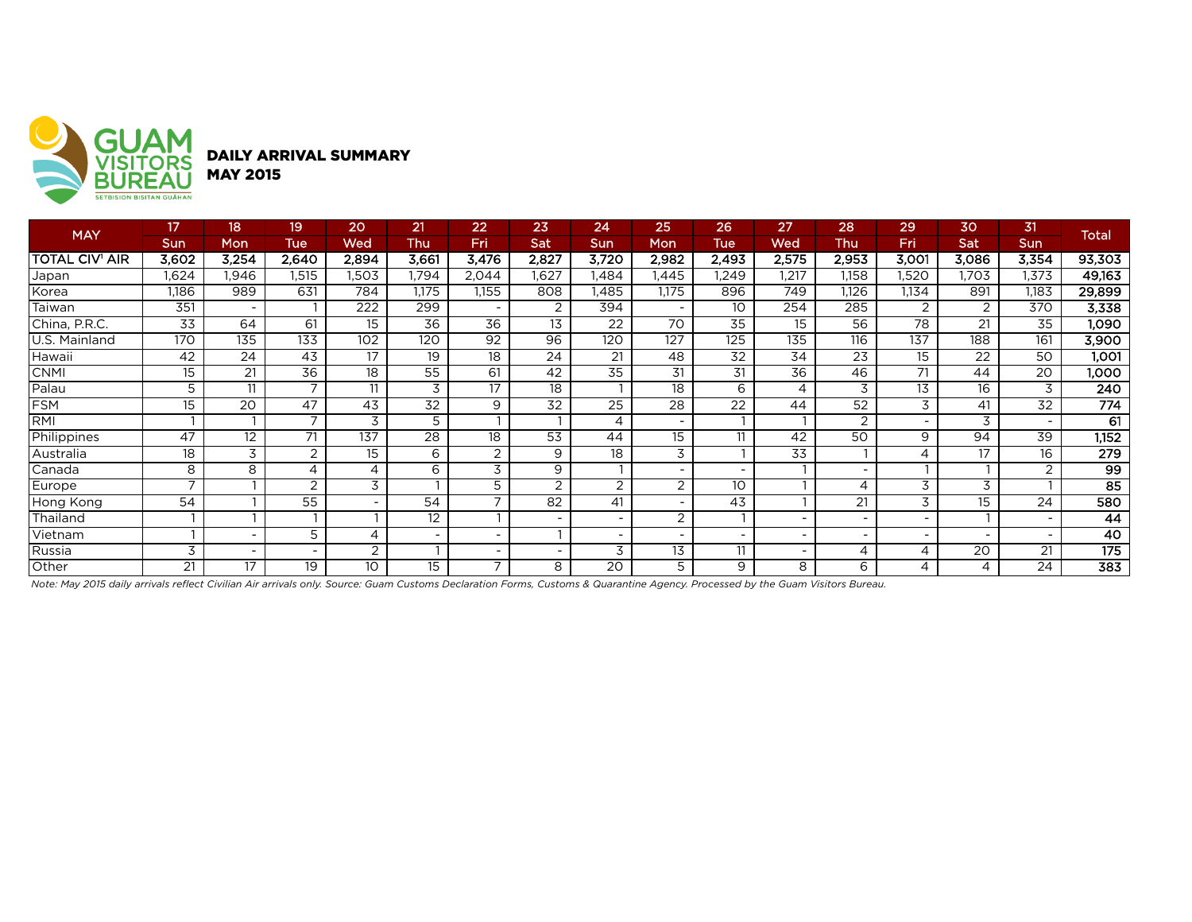

|                       | 17                       | 18                       | 19                       | 20                       | 21    | 22             | 23             | 24                       | 25                       | 26'                      | 27                       | 28             | 29                       | 30    | 31         | <b>Total</b>     |
|-----------------------|--------------------------|--------------------------|--------------------------|--------------------------|-------|----------------|----------------|--------------------------|--------------------------|--------------------------|--------------------------|----------------|--------------------------|-------|------------|------------------|
| <b>MAY</b>            | Sun                      | Mon                      | <b>Tue</b>               | Wed                      | Thu   | Fri            | Sat            | Sun                      | Mon                      | <b>Tue</b>               | Wed                      | <b>Thu</b>     | Fri                      | Sat   | <b>Sun</b> |                  |
| <b>TOTAL CIV' AIR</b> | 3,602                    | 3,254                    | 2,640                    | 2,894                    | 3,661 | 3,476          | 2,827          | 3,720                    | 2,982                    | 2,493                    | 2,575                    | 2,953          | 3,001                    | 3,086 | 3,354      | 93,303           |
| Japan                 | 1,624                    | .946                     | 1,515                    | .503                     | 1,794 | 2,044          | 1,627          | .484                     | 1,445                    | 1,249                    | 1,217                    | 1,158          | 1,520                    | ,703  | .373       | 49,163           |
| Korea                 | 1,186                    | 989                      | 631                      | 784                      | 1,175 | 155.           | 808            | 1,485                    | 1,175                    | 896                      | 749                      | 1,126          | 1,134                    | 891   | 1,183      | 29,899           |
| Taiwan                | 351                      | $\overline{\phantom{a}}$ |                          | 222                      | 299   |                | $\overline{2}$ | 394                      | $\overline{\phantom{0}}$ | 10                       | 254                      | 285            | 2                        | 2     | 370        | 3,338            |
| China, P.R.C.         | 33                       | 64                       | 61                       | 15                       | 36    | 36             | 13             | 22                       | 70                       | 35                       | 15                       | 56             | 78                       | 21    | 35         | 1.090            |
| U.S. Mainland         | 170                      | 135                      | 133                      | 102                      | 120   | 92             | 96             | 120                      | 127                      | 125                      | 135                      | 116            | 137                      | 188   | 161        | 3,900            |
| Hawaii                | 42                       | 24                       | 43                       | 17                       | 19    | 18             | 24             | 21                       | 48                       | 32                       | 34                       | 23             | 15                       | 22    | 50         | 1,001            |
| <b>CNMI</b>           | 15                       | 21                       | 36                       | 18                       | 55    | 61             | 42             | $\overline{35}$          | 31                       | 31                       | 36                       | 46             | 71                       | 44    | 20         | 1,000            |
| Palau                 | 5                        | 11                       |                          | 11                       | 3     | 17             | 18             |                          | 18                       | 6                        | 4                        | 3              | 13                       | 16    | 3          | 240              |
| <b>FSM</b>            | 15                       | 20                       | 47                       | 43                       | 32    | 9              | 32             | 25                       | 28                       | 22                       | 44                       | 52             | 3                        | 41    | 32         | 774              |
| RMI                   |                          |                          | $\overline{ }$           | 3                        | 5     |                |                | 4                        | $\overline{\phantom{a}}$ |                          |                          | $\overline{2}$ |                          | 3     |            | 61               |
| Philippines           | 47                       | 12 <sup>2</sup>          | 71                       | 137                      | 28    | 18             | 53             | 44                       | 15                       | 11                       | 42                       | 50             | 9                        | 94    | 39         | 1,152            |
| Australia             | 18                       | 3                        | 2                        | 15                       | 6     | $\overline{2}$ | 9              | 18                       | 3                        |                          | 33                       |                | 4                        | 17    | 16         | 279              |
| Canada                | 8                        | 8                        | 4                        | 4                        | 6     | 3              | 9              |                          | -                        | $\overline{\phantom{a}}$ |                          |                |                          |       |            | 99               |
| Europe                | $\overline{\phantom{0}}$ |                          | $\overline{2}$           | 3                        |       | 5              | 2              | 2                        | 2                        | 10                       |                          | 4              | 3                        | 3     |            | 85               |
| Hong Kong             | 54                       |                          | 55                       | $\overline{\phantom{a}}$ | 54    |                | 82             | 41                       | $\overline{\phantom{0}}$ | 43                       |                          | 21             | 3                        | 15    | 24         | 580              |
| Thailand              |                          |                          |                          |                          | 12    |                |                | $\overline{\phantom{a}}$ | $\overline{2}$           |                          |                          |                |                          |       |            | 44               |
| Vietnam               |                          | $\overline{\phantom{a}}$ | 5                        | $\overline{4}$           |       |                |                | $\overline{\phantom{a}}$ | $\overline{\phantom{a}}$ | $\overline{\phantom{a}}$ | $\overline{\phantom{a}}$ |                | $\overline{\phantom{0}}$ |       | $\sim$     | 40               |
| Russia                | 3                        | $\overline{\phantom{0}}$ | $\overline{\phantom{0}}$ | 2                        |       |                |                | 3                        | 13                       | 11                       | $\overline{\phantom{a}}$ | 4              | 4                        | 20    | 21         | 175              |
| Other                 | 21                       | 17                       | 19                       | 10                       | 15    | ⇁              | 8              | 20                       | 5                        | 9                        | 8                        | 6              |                          |       | 24         | $\overline{383}$ |

*Note: May 2015 daily arrivals reflect Civilian Air arrivals only. Source: Guam Customs Declaration Forms, Customs & Quarantine Agency. Processed by the Guam Visitors Bureau.*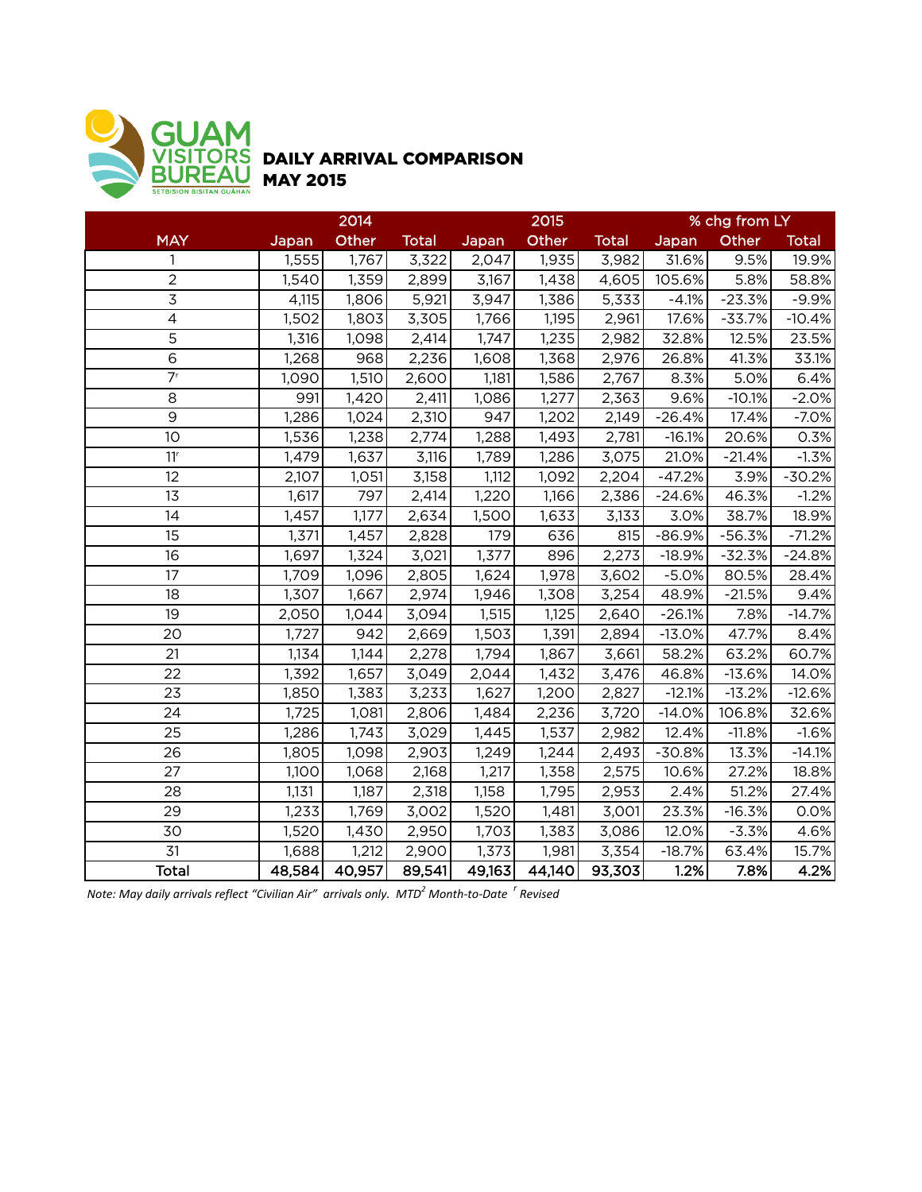

## DAILY ARRIVAL COMPARISON MAY 2015

|                             |        | 2014   |              |        | 2015   |              | % chg from LY |          |              |  |
|-----------------------------|--------|--------|--------------|--------|--------|--------------|---------------|----------|--------------|--|
| <b>MAY</b>                  | Japan  | Other  | <b>Total</b> | Japan  | Other  | <b>Total</b> | Japan         | Other    | <b>Total</b> |  |
| 1                           | 1,555  | 1,767  | 3,322        | 2,047  | 1,935  | 3,982        | 31.6%         | 9.5%     | 19.9%        |  |
| $\overline{2}$              | 1,540  | 1,359  | 2,899        | 3,167  | 1,438  | 4,605        | 105.6%        | 5.8%     | 58.8%        |  |
| 3                           | 4,115  | 1,806  | 5,921        | 3,947  | 1,386  | 5,333        | $-4.1%$       | $-23.3%$ | $-9.9%$      |  |
| $\overline{\mathcal{L}}$    | 1,502  | 1,803  | 3,305        | 1,766  | 1,195  | 2,961        | 17.6%         | $-33.7%$ | $-10.4%$     |  |
| $\overline{5}$              | 1,316  | 1,098  | 2,414        | 1,747  | 1,235  | 2,982        | 32.8%         | 12.5%    | 23.5%        |  |
| $\overline{6}$              | 1,268  | 968    | 2,236        | 1,608  | 1,368  | 2,976        | 26.8%         | 41.3%    | 33.1%        |  |
| $\overline{7}$ <sup>r</sup> | 1,090  | 1,510  | 2,600        | 1,181  | 1,586  | 2,767        | 8.3%          | 5.0%     | 6.4%         |  |
| 8                           | 991    | 1,420  | 2,411        | 1,086  | 1,277  | 2,363        | 9.6%          | $-10.1%$ | $-2.0%$      |  |
| $\overline{9}$              | 1,286  | 1,024  | 2,310        | 947    | 1,202  | 2,149        | $-26.4%$      | 17.4%    | $-7.0%$      |  |
| 10                          | 1,536  | 1,238  | 2,774        | 1,288  | 1,493  | 2,781        | $-16.1%$      | 20.6%    | 0.3%         |  |
| 11 <sup>r</sup>             | 1,479  | 1,637  | 3,116        | 1,789  | 1,286  | 3,075        | 21.0%         | $-21.4%$ | $-1.3%$      |  |
| 12                          | 2,107  | 1,051  | 3,158        | 1,112  | 1,092  | 2,204        | $-47.2%$      | 3.9%     | $-30.2%$     |  |
| 13                          | 1,617  | 797    | 2,414        | 1,220  | 1,166  | 2,386        | $-24.6%$      | 46.3%    | $-1.2%$      |  |
| 14                          | 1,457  | 1,177  | 2,634        | 1,500  | 1,633  | 3,133        | 3.0%          | 38.7%    | 18.9%        |  |
| 15                          | 1,371  | 1,457  | 2,828        | 179    | 636    | 815          | $-86.9%$      | $-56.3%$ | $-71.2%$     |  |
| 16                          | 1,697  | 1,324  | 3,021        | 1,377  | 896    | 2,273        | $-18.9%$      | $-32.3%$ | $-24.8%$     |  |
| 17                          | 1,709  | 1,096  | 2,805        | 1,624  | 1,978  | 3,602        | $-5.0%$       | 80.5%    | 28.4%        |  |
| 18                          | 1,307  | 1,667  | 2,974        | 1,946  | 1,308  | 3,254        | 48.9%         | $-21.5%$ | 9.4%         |  |
| 19                          | 2,050  | 1,044  | 3,094        | 1,515  | 1,125  | 2,640        | $-26.1%$      | 7.8%     | $-14.7%$     |  |
| 20                          | 1,727  | 942    | 2,669        | 1,503  | 1,391  | 2,894        | $-13.0%$      | 47.7%    | 8.4%         |  |
| 21                          | 1,134  | 1,144  | 2,278        | 1,794  | 1,867  | 3,661        | 58.2%         | 63.2%    | 60.7%        |  |
| 22                          | 1,392  | 1,657  | 3,049        | 2,044  | 1,432  | 3,476        | 46.8%         | $-13.6%$ | 14.0%        |  |
| 23                          | 1,850  | 1,383  | 3,233        | 1,627  | 1,200  | 2,827        | $-12.1%$      | $-13.2%$ | $-12.6%$     |  |
| 24                          | 1,725  | 1,081  | 2,806        | 1,484  | 2,236  | 3,720        | $-14.0%$      | 106.8%   | 32.6%        |  |
| 25                          | 1,286  | 1,743  | 3,029        | 1,445  | 1,537  | 2,982        | 12.4%         | $-11.8%$ | $-1.6%$      |  |
| 26                          | 1,805  | 1,098  | 2,903        | 1,249  | 1,244  | 2,493        | $-30.8%$      | 13.3%    | $-14.1%$     |  |
| 27                          | 1,100  | 1,068  | 2,168        | 1,217  | 1,358  | 2,575        | 10.6%         | 27.2%    | 18.8%        |  |
| 28                          | 1,131  | 1,187  | 2,318        | 1,158  | 1,795  | 2,953        | 2.4%          | 51.2%    | 27.4%        |  |
| 29                          | 1,233  | 1,769  | 3,002        | 1,520  | 1,481  | 3,001        | 23.3%         | $-16.3%$ | 0.0%         |  |
| 30                          | 1,520  | 1,430  | 2,950        | 1,703  | 1,383  | 3,086        | 12.0%         | $-3.3%$  | 4.6%         |  |
| 31                          | 1,688  | 1,212  | 2,900        | 1,373  | 1,981  | 3,354        | $-18.7%$      | 63.4%    | 15.7%        |  |
| <b>Total</b>                | 48,584 | 40,957 | 89,541       | 49,163 | 44,140 | 93,303       | 1.2%          | 7.8%     | 4.2%         |  |

*Note: May daily arrivals reflect "Civilian Air" arrivals only. MTD<sup>2</sup> Month-to-Date <sup>r</sup> Revised*